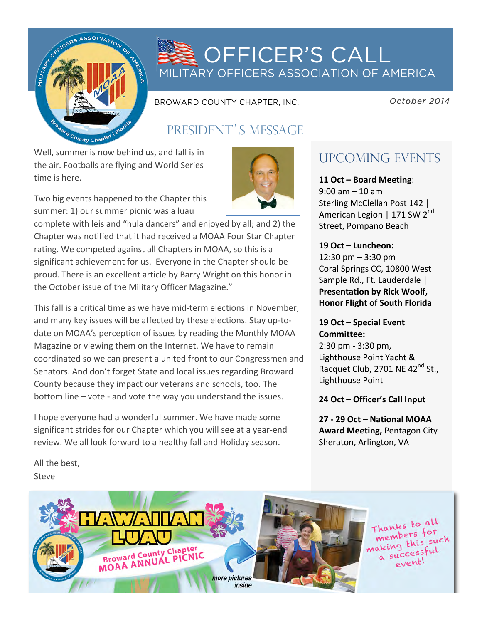

# **OFFICER'S CALL** MILITARY OFFICERS ASSOCIATION OF AMERICA

BROWARD COUNTY CHAPTER, INC.

 *October 2014* 

# PRESIDENT'S MESSAGE

Well, summer is now behind us, and fall is in the air. Footballs are flying and World Series time is here.

Two big events happened to the Chapter this summer: 1) our summer picnic was a luau

complete with leis and "hula dancers" and enjoyed by all; and 2) the Chapter was notified that it had received a MOAA Four Star Chapter rating. We competed against all Chapters in MOAA, so this is a significant achievement for us. Everyone in the Chapter should be proud. There is an excellent article by Barry Wright on this honor in the October issue of the Military Officer Magazine."

This fall is a critical time as we have mid-term elections in November, and many key issues will be affected by these elections. Stay up-todate on MOAA's perception of issues by reading the Monthly MOAA Magazine or viewing them on the Internet. We have to remain coordinated so we can present a united front to our Congressmen and Senators. And don't forget State and local issues regarding Broward County because they impact our veterans and schools, too. The bottom line – vote - and vote the way you understand the issues.

I hope everyone had a wonderful summer. We have made some significant strides for our Chapter which you will see at a year-end review. We all look forward to a healthy fall and Holiday season.



# UPCOMING EVENTS

**11 Oct – Board Meeting**:  $9:00$  am  $- 10$  am Sterling McClellan Post 142 | American Legion | 171 SW 2<sup>nd</sup> Street, Pompano Beach

## 19 Oct – Luncheon:

 $12:30 \text{ pm} - 3:30 \text{ pm}$ Coral Springs CC, 10800 West Sample Rd., Ft. Lauderdale | **Presentation by Rick Woolf, Honor Flight of South Florida** 

## 19 Oct – Special Event **Committee:**

2:30 pm - 3:30 pm, Lighthouse Point Yacht & Racquet Club, 2701 NE 42<sup>nd</sup> St., Lighthouse Point

## **24 Oct – Officer's Call Input**

**27 - 29 Oct – National MOAA Award Meeting, Pentagon City** Sheraton, Arlington, VA

All the best, Steve 

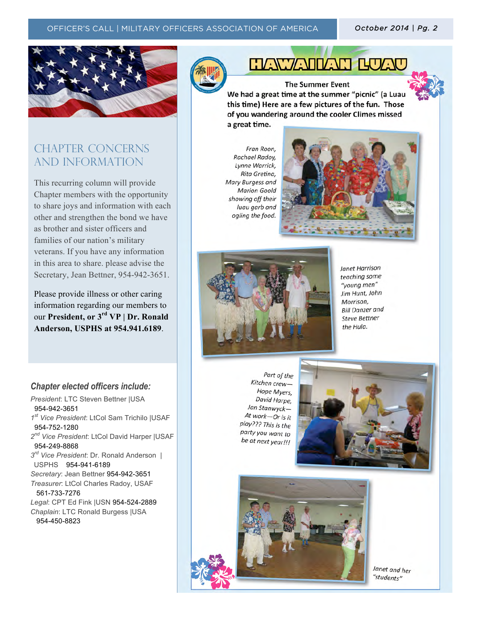## OFFICER'S CALL | MILITARY OFFICERS ASSOCIATION OF AMERICA *October 2014 | Pg. 2 October 2014 | Pg. 2*



## CHAPTER CONCERNs AND INFORMATION

This recurring column will provide Chapter members with the opportunity to share joys and information with each other and strengthen the bond we have as brother and sister officers and families of our nation's military veterans. If you have any information in this area to share. please advise the Secretary, Jean Bettner, 954-942-3651.

Please provide illness or other caring information regarding our members to our **President, or 3rd VP | Dr. Ronald Anderson, USPHS at 954.941.6189**.

**HAWAIILAN BUA** 

**The Summer Event** We had a great time at the summer "picnic" (a Luau this time) Here are a few pictures of the fun. Those of you wandering around the cooler Climes missed a great time.

Fran Roon Rachael Radoy, Lynne Warrick, Rita Gretina, Mary Burgess and **Marion Goold** showing off their luau garb and ogling the food.





**Janet Harrison** teaching some "young men" Jim Hunt, John Morrison, **Bill Danzer and Steve Bettner** the Hula.

## *Chapter elected officers include:*

*President*: LTC Steven Bettner |USA 954-942-3651 *1st Vice President*: LtCol Sam Trichilo |USAF 954-752-1280 *2nd Vice President*: LtCol David Harper |USAF 954-249-8868 *3rd Vice President*: Dr. Ronald Anderson | USPHS 954-941-6189 *Secretary*: Jean Bettner 954-942-3651 *Treasurer*: LtCol Charles Radoy, USAF 561-733-7276 *Legal*: CPT Ed Fink |USN 954-524-2889 *Chaplain*: LTC Ronald Burgess |USA 954-450-8823

Part of the Kitchen crew-Hope Myers, David Harpe, Jan Stanwyck-At work-Or is it play??? This is the party you want to be at next year!!!





Janet and her "students"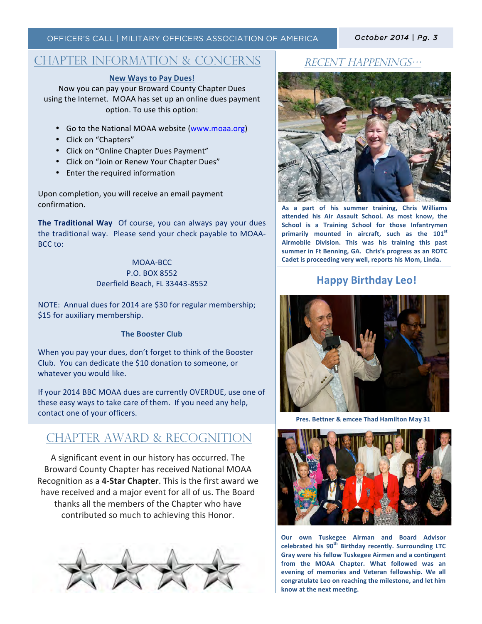## CHAPTER INFORMATION & CONCERNS

#### **New Ways to Pay Dues!**

Now you can pay your Broward County Chapter Dues using the Internet. MOAA has set up an online dues payment option. To use this option:

- Go to the National MOAA website (www.moaa.org)
- Click on "Chapters"
- Click on "Online Chapter Dues Payment"
- Click on "Join or Renew Your Chapter Dues"
- Enter the required information

Upon completion, you will receive an email payment confirmation. 

**The Traditional Way** Of course, you can always pay your dues the traditional way. Please send your check payable to MOAA-BCC to:

#### MOAA-BCC P.O. BOX 8552 Deerfield Beach, FL 33443-8552

NOTE: Annual dues for 2014 are \$30 for regular membership; \$15 for auxiliary membership.

#### **The Booster Club**

When you pay your dues, don't forget to think of the Booster Club. You can dedicate the \$10 donation to someone, or whatever you would like.

If your 2014 BBC MOAA dues are currently OVERDUE, use one of these easy ways to take care of them. If you need any help, contact one of your officers.

## CHAPTER award & Recognition

A significant event in our history has occurred. The Broward County Chapter has received National MOAA Recognition as a 4-Star Chapter. This is the first award we have received and a major event for all of us. The Board thanks all the members of the Chapter who have contributed so much to achieving this Honor.



### Recent happenings…



As a part of his summer training, Chris Williams attended his Air Assault School. As most know, the **School** is a Training School for those Infantrymen primarily mounted in aircraft, such as the 101<sup>st</sup> Airmobile Division. This was his training this past summer in Ft Benning, GA. Chris's progress as an ROTC Cadet is proceeding very well, reports his Mom, Linda.

### **Happy Birthday Leo!**



Pres. Bettner & emcee Thad Hamilton May 31



**Our** own Tuskegee Airman and Board Advisor celebrated his 90<sup>th</sup> Birthday recently. Surrounding LTC **Gray were his fellow Tuskegee Airmen and a contingent** from the MOAA Chapter. What followed was an evening of memories and Veteran fellowship. We all congratulate Leo on reaching the milestone, and let him know at the next meeting.